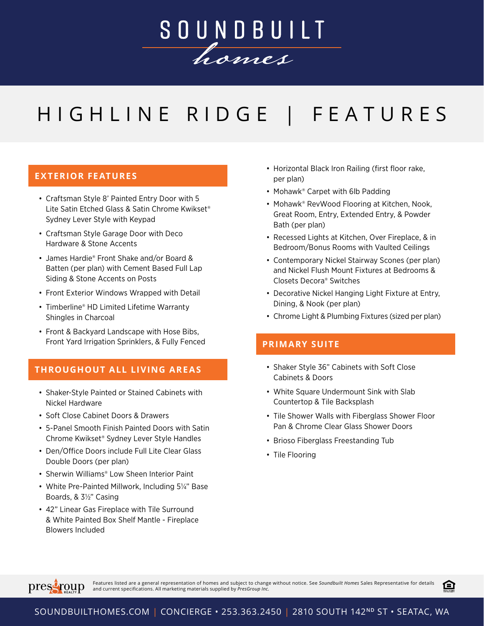

## HIGHLINE RIDGE | FEATURES

## **EXTERIOR FEATURES**

- Craftsman Style 8' Painted Entry Door with 5 Lite Satin Etched Glass & Satin Chrome Kwikset® Sydney Lever Style with Keypad
- Craftsman Style Garage Door with Deco Hardware & Stone Accents
- James Hardie® Front Shake and/or Board & Batten (per plan) with Cement Based Full Lap Siding & Stone Accents on Posts
- Front Exterior Windows Wrapped with Detail
- Timberline® HD Limited Lifetime Warranty Shingles in Charcoal
- Front & Backyard Landscape with Hose Bibs, Front Yard Irrigation Sprinklers, & Fully Fenced

### **THROUGHOUT ALL LIVING AREAS**

- Shaker-Style Painted or Stained Cabinets with Nickel Hardware
- Soft Close Cabinet Doors & Drawers
- 5-Panel Smooth Finish Painted Doors with Satin Chrome Kwikset® Sydney Lever Style Handles
- Den/Office Doors include Full Lite Clear Glass Double Doors (per plan)
- Sherwin Williams® Low Sheen Interior Paint
- White Pre-Painted Millwork, Including 5¼" Base Boards, & 3½" Casing
- 42" Linear Gas Fireplace with Tile Surround & White Painted Box Shelf Mantle - Fireplace Blowers Included
- Horizontal Black Iron Railing (first floor rake, per plan)
- Mohawk<sup>®</sup> Carpet with 6lb Padding
- Mohawk® RevWood Flooring at Kitchen, Nook, Great Room, Entry, Extended Entry, & Powder Bath (per plan)
- Recessed Lights at Kitchen, Over Fireplace, & in Bedroom/Bonus Rooms with Vaulted Ceilings
- Contemporary Nickel Stairway Scones (per plan) and Nickel Flush Mount Fixtures at Bedrooms & Closets Decora® Switches
- Decorative Nickel Hanging Light Fixture at Entry, Dining, & Nook (per plan)
- Chrome Light & Plumbing Fixtures (sized per plan)

#### **PRIMARY SUITE**

- Shaker Style 36" Cabinets with Soft Close Cabinets & Doors
- White Square Undermount Sink with Slab Countertop & Tile Backsplash
- Tile Shower Walls with Fiberglass Shower Floor Pan & Chrome Clear Glass Shower Doors
- Brioso Fiberglass Freestanding Tub
- Tile Flooring



Features listed are a general representation of homes and subject to change without notice. See So*undbuilt Homes* Sales Representative for details<br>and current specifications. All marketing materials supplied by *PresGroup* 

臼